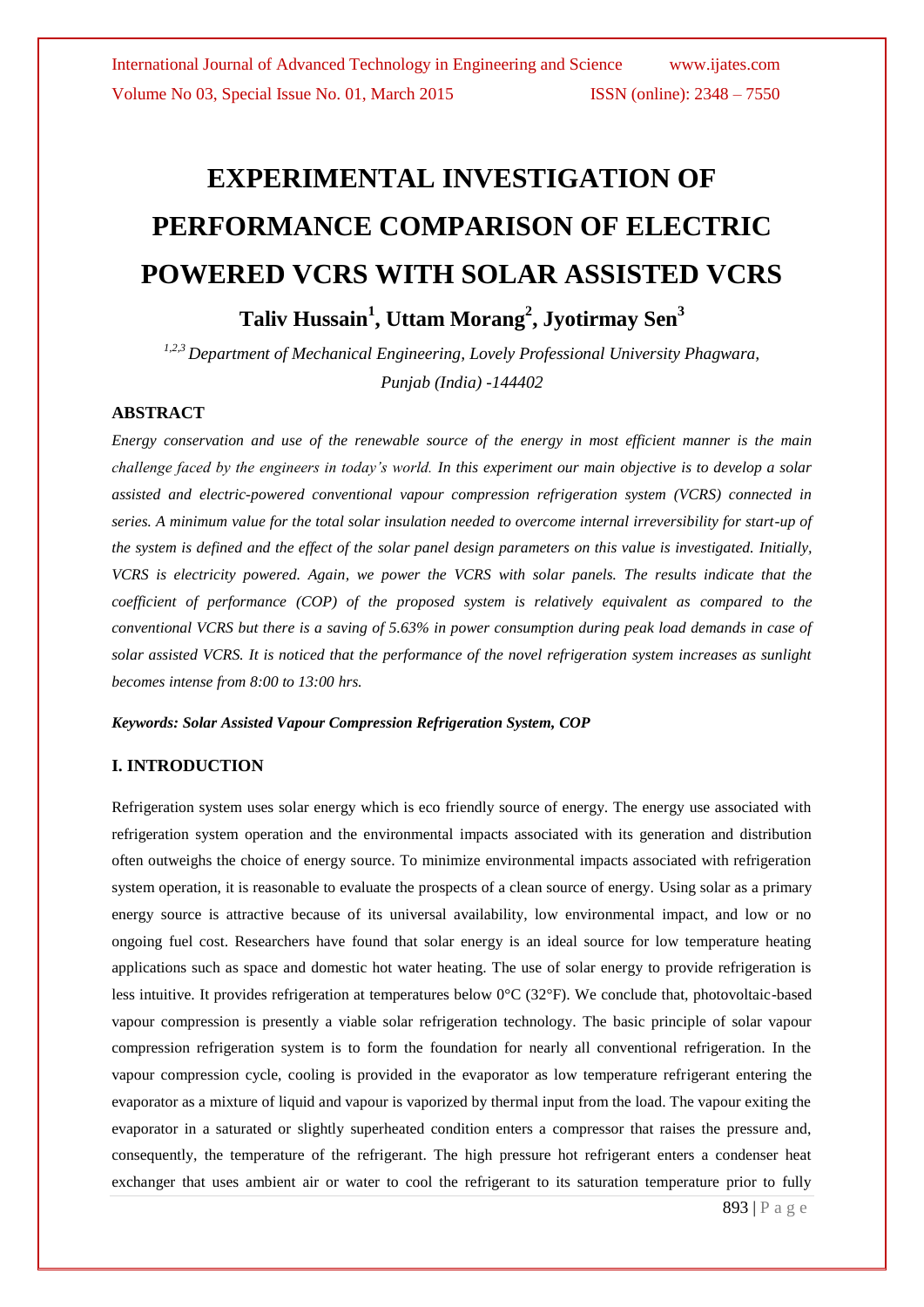# **EXPERIMENTAL INVESTIGATION OF PERFORMANCE COMPARISON OF ELECTRIC POWERED VCRS WITH SOLAR ASSISTED VCRS**

**Taliv Hussain<sup>1</sup> , Uttam Morang 2 , Jyotirmay Sen<sup>3</sup>** *1,2,3 Department of Mechanical Engineering, Lovely Professional University Phagwara,*

*Punjab (India) -144402*

### **ABSTRACT**

*Energy conservation and use of the renewable source of the energy in most efficient manner is the main challenge faced by the engineers in today's world. In this experiment our main objective is to develop a solar assisted and electric-powered conventional vapour compression refrigeration system (VCRS) connected in series. A minimum value for the total solar insulation needed to overcome internal irreversibility for start-up of the system is defined and the effect of the solar panel design parameters on this value is investigated. Initially, VCRS is electricity powered. Again, we power the VCRS with solar panels. The results indicate that the coefficient of performance (COP) of the proposed system is relatively equivalent as compared to the conventional VCRS but there is a saving of 5.63% in power consumption during peak load demands in case of solar assisted VCRS. It is noticed that the performance of the novel refrigeration system increases as sunlight becomes intense from 8:00 to 13:00 hrs.*

#### *Keywords: Solar Assisted Vapour Compression Refrigeration System, COP*

## **I. INTRODUCTION**

Refrigeration system uses solar energy which is eco friendly source of energy. The energy use associated with refrigeration system operation and the environmental impacts associated with its generation and distribution often outweighs the choice of energy source. To minimize environmental impacts associated with refrigeration system operation, it is reasonable to evaluate the prospects of a clean source of energy. Using solar as a primary energy source is attractive because of its universal availability, low environmental impact, and low or no ongoing fuel cost. Researchers have found that solar energy is an ideal source for low temperature heating applications such as space and domestic hot water heating. The use of solar energy to provide refrigeration is less intuitive. It provides refrigeration at temperatures below 0°C (32°F). We conclude that, photovoltaic-based vapour compression is presently a viable solar refrigeration technology. The basic principle of solar vapour compression refrigeration system is to form the foundation for nearly all conventional refrigeration. In the vapour compression cycle, cooling is provided in the evaporator as low temperature refrigerant entering the evaporator as a mixture of liquid and vapour is vaporized by thermal input from the load. The vapour exiting the evaporator in a saturated or slightly superheated condition enters a compressor that raises the pressure and, consequently, the temperature of the refrigerant. The high pressure hot refrigerant enters a condenser heat exchanger that uses ambient air or water to cool the refrigerant to its saturation temperature prior to fully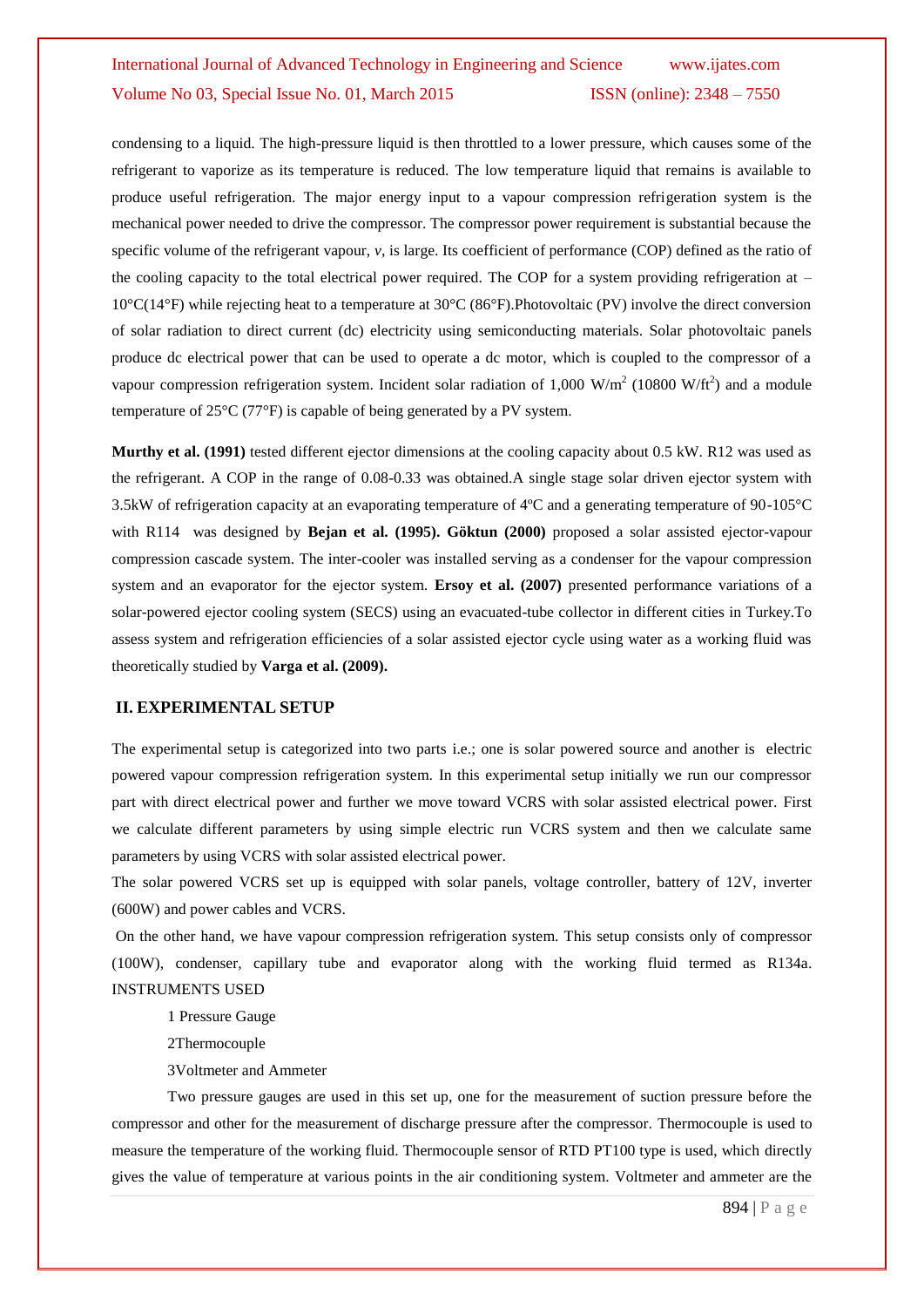condensing to a liquid. The high-pressure liquid is then throttled to a lower pressure, which causes some of the refrigerant to vaporize as its temperature is reduced. The low temperature liquid that remains is available to produce useful refrigeration. The major energy input to a vapour compression refrigeration system is the mechanical power needed to drive the compressor. The compressor power requirement is substantial because the specific volume of the refrigerant vapour, *v*, is large. Its coefficient of performance (COP) defined as the ratio of the cooling capacity to the total electrical power required. The COP for a system providing refrigeration at  $-$ 10°C(14°F) while rejecting heat to a temperature at 30°C (86°F).Photovoltaic (PV) involve the direct conversion of solar radiation to direct current (dc) electricity using semiconducting materials. Solar photovoltaic panels produce dc electrical power that can be used to operate a dc motor, which is coupled to the compressor of a vapour compression refrigeration system. Incident solar radiation of 1,000 W/m<sup>2</sup> (10800 W/ft<sup>2</sup>) and a module temperature of 25°C (77°F) is capable of being generated by a PV system.

**Murthy et al. (1991)** tested different ejector dimensions at the cooling capacity about 0.5 kW. R12 was used as the refrigerant. A COP in the range of 0.08-0.33 was obtained.A single stage solar driven ejector system with 3.5kW of refrigeration capacity at an evaporating temperature of 4ºC and a generating temperature of 90-105°C with R114 was designed by **Bejan et al. (1995). Göktun (2000)** proposed a solar assisted ejector-vapour compression cascade system. The inter-cooler was installed serving as a condenser for the vapour compression system and an evaporator for the ejector system. **Ersoy et al. (2007)** presented performance variations of a solar-powered ejector cooling system (SECS) using an evacuated-tube collector in different cities in Turkey.To assess system and refrigeration efficiencies of a solar assisted ejector cycle using water as a working fluid was theoretically studied by **Varga et al. (2009).**

### **II. EXPERIMENTAL SETUP**

The experimental setup is categorized into two parts i.e.; one is solar powered source and another is electric powered vapour compression refrigeration system. In this experimental setup initially we run our compressor part with direct electrical power and further we move toward VCRS with solar assisted electrical power. First we calculate different parameters by using simple electric run VCRS system and then we calculate same parameters by using VCRS with solar assisted electrical power.

The solar powered VCRS set up is equipped with solar panels, voltage controller, battery of 12V, inverter (600W) and power cables and VCRS.

On the other hand, we have vapour compression refrigeration system. This setup consists only of compressor (100W), condenser, capillary tube and evaporator along with the working fluid termed as R134a. INSTRUMENTS USED

1 Pressure Gauge

2Thermocouple

3Voltmeter and Ammeter

Two pressure gauges are used in this set up, one for the measurement of suction pressure before the compressor and other for the measurement of discharge pressure after the compressor. Thermocouple is used to measure the temperature of the working fluid. Thermocouple sensor of RTD PT100 type is used, which directly gives the value of temperature at various points in the air conditioning system. Voltmeter and ammeter are the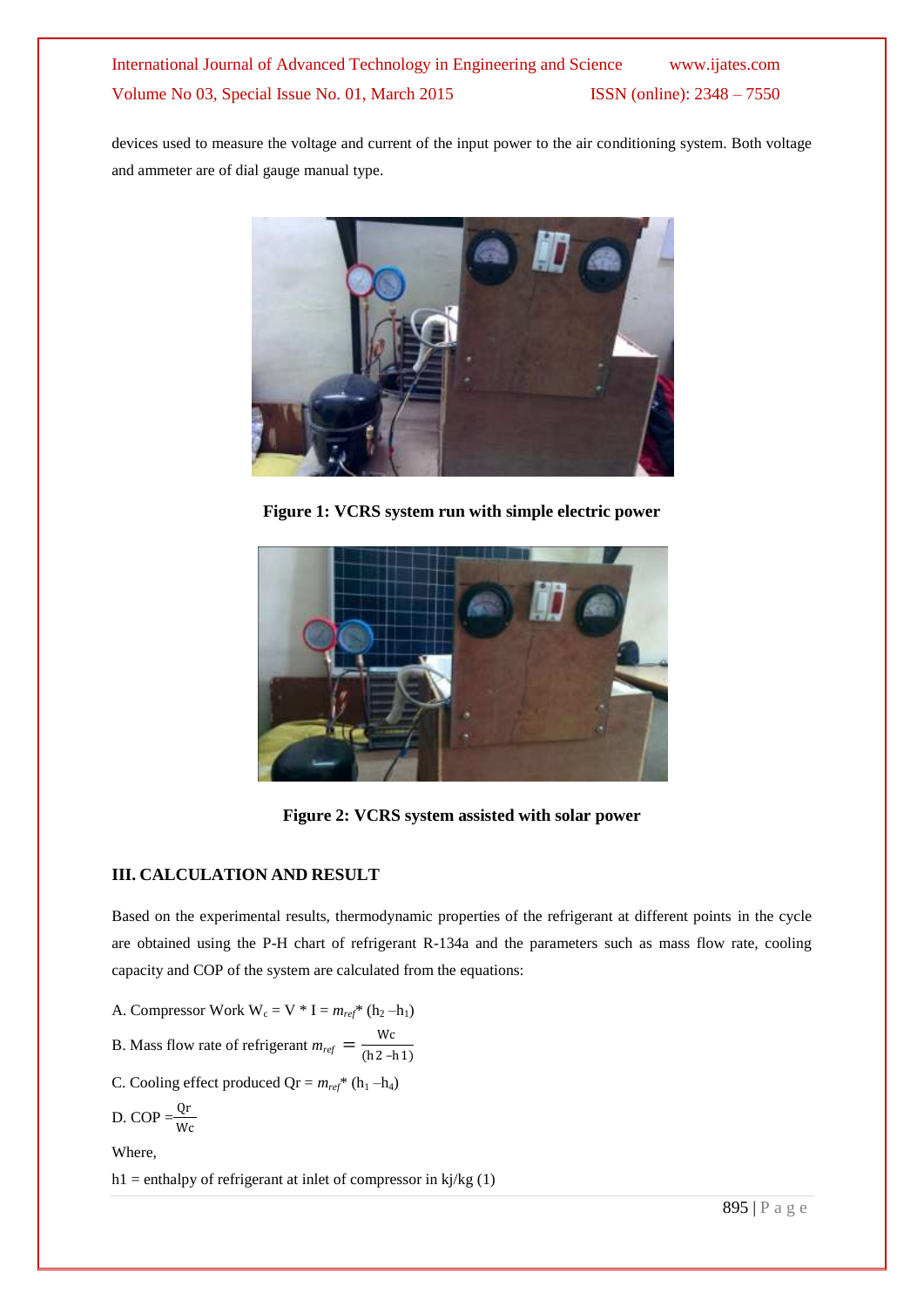devices used to measure the voltage and current of the input power to the air conditioning system. Both voltage and ammeter are of dial gauge manual type.



**Figure 1: VCRS system run with simple electric power**



**Figure 2: VCRS system assisted with solar power**

## **III. CALCULATION AND RESULT**

Based on the experimental results, thermodynamic properties of the refrigerant at different points in the cycle are obtained using the P-H chart of refrigerant R-134a and the parameters such as mass flow rate, cooling capacity and COP of the system are calculated from the equations:

A. Compressor Work  $W_c = V * I = m_{ref} * (h_2 - h_1)$ 

B. Mass flow rate of refrigerant  $m_{ref} = \frac{Wc}{(h^2 - h^2)}$ (h2 –h1)

C. Cooling effect produced  $Qr = m_{ref}$ <sup>\*</sup> (h<sub>1</sub> –h<sub>4</sub>)

D. COP = 
$$
\frac{Qr}{Wc}
$$

Where,

h1 = enthalpy of refrigerant at inlet of compressor in  $kj/kg(1)$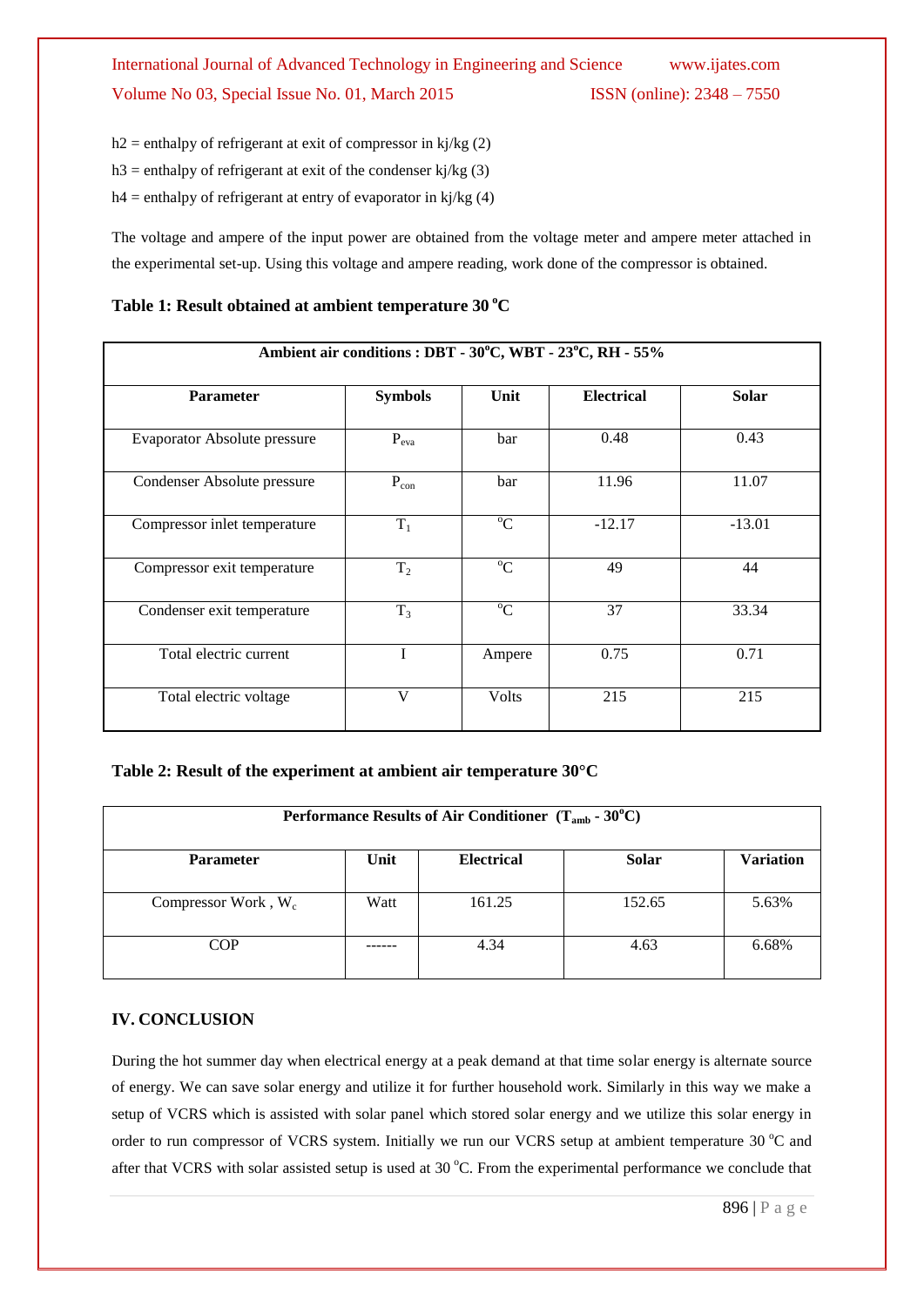$h2$  = enthalpy of refrigerant at exit of compressor in kj/kg (2)

h3 = enthalpy of refrigerant at exit of the condenser kj/kg  $(3)$ 

h4 = enthalpy of refrigerant at entry of evaporator in kj/kg  $(4)$ 

The voltage and ampere of the input power are obtained from the voltage meter and ampere meter attached in the experimental set-up. Using this voltage and ampere reading, work done of the compressor is obtained.

## Table 1: Result obtained at ambient temperature 30 °C

| Ambient air conditions : DBT - 30°C, WBT - 23°C, RH - 55% |                |             |                   |              |  |  |
|-----------------------------------------------------------|----------------|-------------|-------------------|--------------|--|--|
| <b>Parameter</b>                                          | <b>Symbols</b> | Unit        | <b>Electrical</b> | <b>Solar</b> |  |  |
| <b>Evaporator Absolute pressure</b>                       | $P_{eva}$      | bar         | 0.48              | 0.43         |  |  |
| Condenser Absolute pressure                               | $P_{con}$      | bar         | 11.96             | 11.07        |  |  |
| Compressor inlet temperature                              | $T_1$          | $\rm ^{o}C$ | $-12.17$          | $-13.01$     |  |  |
| Compressor exit temperature                               | T <sub>2</sub> | $^{\circ}C$ | 49                | 44           |  |  |
| Condenser exit temperature                                | $T_3$          | $\rm ^{o}C$ | 37                | 33.34        |  |  |
| Total electric current                                    |                | Ampere      | 0.75              | 0.71         |  |  |
| Total electric voltage                                    | V              | Volts       | 215               | 215          |  |  |

## **Table 2: Result of the experiment at ambient air temperature 30°C**

| Performance Results of Air Conditioner $(T_{amb} - 30^{\circ}C)$ |      |                   |              |                  |  |  |
|------------------------------------------------------------------|------|-------------------|--------------|------------------|--|--|
| <b>Parameter</b>                                                 | Unit | <b>Electrical</b> | <b>Solar</b> | <b>Variation</b> |  |  |
| Compressor Work, $W_c$                                           | Watt | 161.25            | 152.65       | 5.63%            |  |  |
| <b>COP</b>                                                       |      | 4.34              | 4.63         | 6.68%            |  |  |

## **IV. CONCLUSION**

During the hot summer day when electrical energy at a peak demand at that time solar energy is alternate source of energy. We can save solar energy and utilize it for further household work. Similarly in this way we make a setup of VCRS which is assisted with solar panel which stored solar energy and we utilize this solar energy in order to run compressor of VCRS system. Initially we run our VCRS setup at ambient temperature 30 °C and after that VCRS with solar assisted setup is used at  $30^{\circ}$ C. From the experimental performance we conclude that